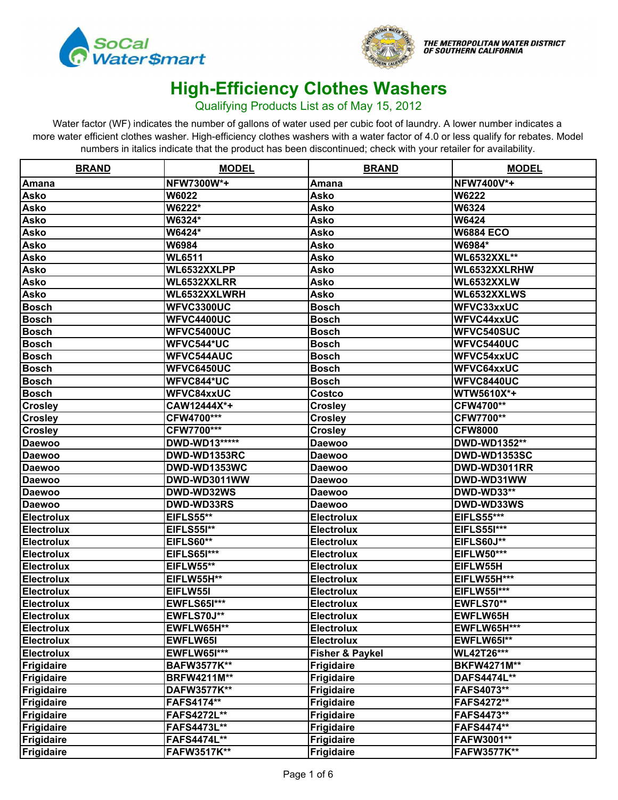



#### Qualifying Products List as of May 15, 2012

| <b>BRAND</b>      | <b>MODEL</b>       | <b>BRAND</b>               | <b>MODEL</b>        |
|-------------------|--------------------|----------------------------|---------------------|
| Amana             | NFW7300W*+         | Amana                      | NFW7400V*+          |
| <b>Asko</b>       | W6022              | Asko                       | W6222               |
| <b>Asko</b>       | W6222*             | Asko                       | W6324               |
| <b>Asko</b>       | W6324*             | Asko                       | W6424               |
| <b>Asko</b>       | W6424*             | Asko                       | <b>W6884 ECO</b>    |
| <b>Asko</b>       | W6984              | Asko                       | W6984*              |
| <b>Asko</b>       | <b>WL6511</b>      | Asko                       | <b>WL6532XXL**</b>  |
| <b>Asko</b>       | WL6532XXLPP        | Asko                       | WL6532XXLRHW        |
| <b>Asko</b>       | WL6532XXLRR        | Asko                       | WL6532XXLW          |
| <b>Asko</b>       | WL6532XXLWRH       | Asko                       | WL6532XXLWS         |
| <b>Bosch</b>      | <b>WFVC3300UC</b>  | <b>Bosch</b>               | WFVC33xxUC          |
| <b>Bosch</b>      | WFVC4400UC         | <b>Bosch</b>               | <b>WFVC44xxUC</b>   |
| <b>Bosch</b>      | <b>WFVC5400UC</b>  | <b>Bosch</b>               | WFVC540SUC          |
| <b>Bosch</b>      | WFVC544*UC         | <b>Bosch</b>               | WFVC5440UC          |
| <b>Bosch</b>      | <b>WFVC544AUC</b>  | Bosch                      | WFVC54xxUC          |
| <b>Bosch</b>      | <b>WFVC6450UC</b>  | <b>Bosch</b>               | <b>WFVC64xxUC</b>   |
| <b>Bosch</b>      | WFVC844*UC         | Bosch                      | WFVC8440UC          |
| <b>Bosch</b>      | WFVC84xxUC         | Costco                     | WTW5610X*+          |
| <b>Crosley</b>    | CAW12444X*+        | <b>Crosley</b>             | CFW4700**           |
| <b>Crosley</b>    | CFW4700***         | <b>Crosley</b>             | CFW7700**           |
| <b>Crosley</b>    | CFW7700***         | <b>Crosley</b>             | <b>CFW8000</b>      |
| <b>Daewoo</b>     | DWD-WD13*****      | <b>Daewoo</b>              | DWD-WD1352**        |
| <b>Daewoo</b>     | DWD-WD1353RC       | <b>Daewoo</b>              | <b>DWD-WD1353SC</b> |
| <b>Daewoo</b>     | DWD-WD1353WC       | <b>Daewoo</b>              | DWD-WD3011RR        |
| <b>Daewoo</b>     | DWD-WD3011WW       | <b>Daewoo</b>              | DWD-WD31WW          |
| <b>Daewoo</b>     | DWD-WD32WS         | Daewoo                     | DWD-WD33**          |
| <b>Daewoo</b>     | DWD-WD33RS         | Daewoo                     | DWD-WD33WS          |
| <b>Electrolux</b> | EIFLS55**          | <b>Electrolux</b>          | <b>EIFLS55***</b>   |
| <b>Electrolux</b> | <b>EIFLS551**</b>  | <b>Electrolux</b>          | <b>EIFLS551***</b>  |
| <b>Electrolux</b> | <b>EIFLS60**</b>   | <b>Electrolux</b>          | <b>EIFLS60J**</b>   |
| <b>Electrolux</b> | EIFLS651***        | <b>Electrolux</b>          | <b>EIFLW50***</b>   |
| <b>Electrolux</b> | <b>EIFLW55**</b>   | <b>Electrolux</b>          | EIFLW55H            |
| <b>Electrolux</b> | EIFLW55H**         | <b>Electrolux</b>          | <b>EIFLW55H***</b>  |
| <b>Electrolux</b> | EIFLW55I           | <b>Electrolux</b>          | <b>EIFLW55I***</b>  |
| <b>Electrolux</b> | EWFLS65I***        | <b>Electrolux</b>          | EWFLS70**           |
| Electrolux        | EWFLS70J**         | Electrolux                 | EWFLW65H            |
| <b>Electrolux</b> | EWFLW65H**         | <b>Electrolux</b>          | EWFLW65H***         |
| <b>Electrolux</b> | EWFLW65I           | <b>Electrolux</b>          | EWFLW65I**          |
| <b>Electrolux</b> | <b>EWFLW65I***</b> | <b>Fisher &amp; Paykel</b> | <b>WL42T26***</b>   |
| Frigidaire        | <b>BAFW3577K**</b> | <b>Frigidaire</b>          | <b>BKFW4271M**</b>  |
| Frigidaire        | <b>BRFW4211M**</b> | <b>Frigidaire</b>          | <b>DAFS4474L**</b>  |
| Frigidaire        | DAFW3577K**        | <b>Frigidaire</b>          | FAFS4073**          |
| Frigidaire        | <b>FAFS4174**</b>  | <b>Frigidaire</b>          | <b>FAFS4272**</b>   |
| Frigidaire        | <b>FAFS4272L**</b> | <b>Frigidaire</b>          | FAFS4473**          |
| Frigidaire        | <b>FAFS4473L**</b> | <b>Frigidaire</b>          | FAFS4474**          |
| Frigidaire        | <b>FAFS4474L**</b> | <b>Frigidaire</b>          | FAFW3001**          |
| Frigidaire        | <b>FAFW3517K**</b> | <b>Frigidaire</b>          | <b>FAFW3577K**</b>  |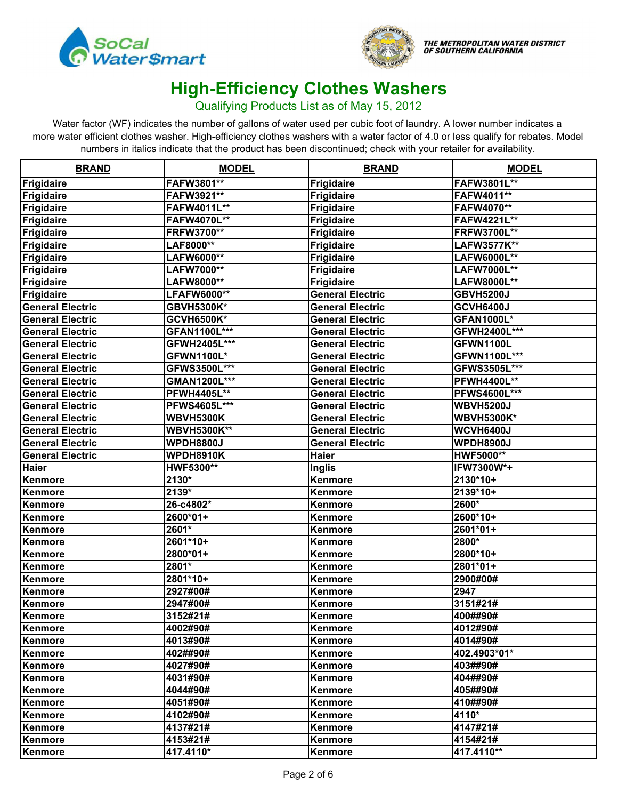



#### Qualifying Products List as of May 15, 2012

| <b>BRAND</b>            | <b>MODEL</b>       | <b>BRAND</b>            | <b>MODEL</b>        |
|-------------------------|--------------------|-------------------------|---------------------|
| Frigidaire              | FAFW3801**         | <b>Frigidaire</b>       | FAFW3801L**         |
| Frigidaire              | FAFW3921**         | <b>Frigidaire</b>       | FAFW4011**          |
| Frigidaire              | FAFW4011L**        | <b>Frigidaire</b>       | FAFW4070**          |
| Frigidaire              | FAFW4070L**        | <b>Frigidaire</b>       | FAFW4221L**         |
| Frigidaire              | <b>FRFW3700**</b>  | <b>Frigidaire</b>       | <b>FRFW3700L**</b>  |
| Frigidaire              | LAF8000**          | <b>Frigidaire</b>       | LAFW3577K**         |
| Frigidaire              | LAFW6000**         | <b>Frigidaire</b>       | <b>LAFW6000L**</b>  |
| Frigidaire              | LAFW7000**         | <b>Frigidaire</b>       | LAFW7000L**         |
| Frigidaire              | LAFW8000**         | <b>Frigidaire</b>       | LAFW8000L**         |
| Frigidaire              | LFAFW6000**        | <b>General Electric</b> | <b>GBVH5200J</b>    |
| <b>General Electric</b> | <b>GBVH5300K*</b>  | <b>General Electric</b> | <b>GCVH6400J</b>    |
| <b>General Electric</b> | <b>GCVH6500K*</b>  | <b>General Electric</b> | <b>GFAN1000L*</b>   |
| <b>General Electric</b> | GFAN1100L***       | <b>General Electric</b> | GFWH2400L***        |
| <b>General Electric</b> | GFWH2405L***       | <b>General Electric</b> | GFWN1100L           |
| <b>General Electric</b> | <b>GFWN1100L*</b>  | <b>General Electric</b> | GFWN1100L***        |
| <b>General Electric</b> | GFWS3500L***       | <b>General Electric</b> | GFWS3505L***        |
| <b>General Electric</b> | GMAN1200L***       | <b>General Electric</b> | <b>PFWH4400L**</b>  |
| <b>General Electric</b> | <b>PFWH4405L**</b> | <b>General Electric</b> | <b>PFWS4600L***</b> |
| <b>General Electric</b> | PFWS4605L***       | <b>General Electric</b> | <b>WBVH5200J</b>    |
| <b>General Electric</b> | <b>WBVH5300K</b>   | <b>General Electric</b> | <b>WBVH5300K*</b>   |
| <b>General Electric</b> | <b>WBVH5300K**</b> | <b>General Electric</b> | <b>WCVH6400J</b>    |
| <b>General Electric</b> | <b>WPDH8800J</b>   | <b>General Electric</b> | <b>WPDH8900J</b>    |
| <b>General Electric</b> | <b>WPDH8910K</b>   | <b>Haier</b>            | <b>HWF5000**</b>    |
| <b>Haier</b>            | HWF5300**          | <b>Inglis</b>           | IFW7300W*+          |
| Kenmore                 | 2130*              | Kenmore                 | 2130*10+            |
| Kenmore                 | $2139*$            | Kenmore                 | 2139*10+            |
| Kenmore                 | 26-c4802*          | Kenmore                 | 2600*               |
| Kenmore                 | 2600*01+           | Kenmore                 | 2600*10+            |
| Kenmore                 | 2601*              | Kenmore                 | 2601*01+            |
| Kenmore                 | 2601*10+           | Kenmore                 | 2800*               |
| Kenmore                 | 2800*01+           | Kenmore                 | 2800*10+            |
| Kenmore                 | 2801*              | Kenmore                 | 2801*01+            |
| Kenmore                 | 2801*10+           | Kenmore                 | 2900#00#            |
| Kenmore                 | 2927#00#           | Kenmore                 | 2947                |
| Kenmore                 | 2947#00#           | Kenmore                 | 3151#21#            |
| Kenmore                 | 3152#21#           | Kenmore                 | 400##90#            |
| Kenmore                 | 4002#90#           | Kenmore                 | 4012#90#            |
| Kenmore                 | 4013#90#           | <b>Kenmore</b>          | 4014#90#            |
| Kenmore                 | 402##90#           | Kenmore                 | 402.4903*01*        |
| Kenmore                 | 4027#90#           | Kenmore                 | 403##90#            |
| Kenmore                 | 4031#90#           | Kenmore                 | 404##90#            |
| Kenmore                 | 4044#90#           | Kenmore                 | 405##90#            |
| Kenmore                 | 4051#90#           | Kenmore                 | 410##90#            |
| Kenmore                 | 4102#90#           | Kenmore                 | 4110*               |
| Kenmore                 | 4137#21#           | Kenmore                 | 4147#21#            |
| Kenmore                 | 4153#21#           | Kenmore                 | 4154#21#            |
| Kenmore                 | 417.4110*          | Kenmore                 | 417.4110**          |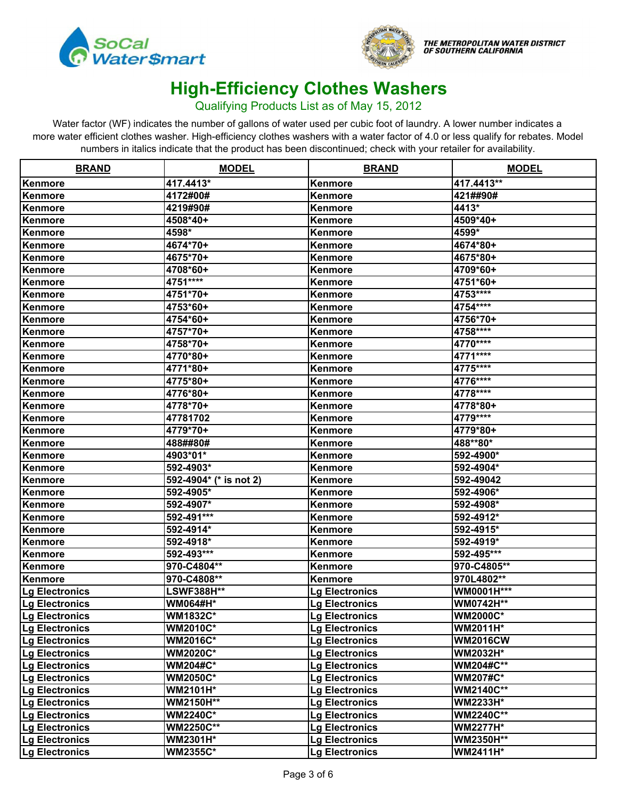



#### Qualifying Products List as of May 15, 2012

| <b>BRAND</b>          | <b>MODEL</b>           | <b>BRAND</b>          | <b>MODEL</b>      |
|-----------------------|------------------------|-----------------------|-------------------|
| Kenmore               | 417.4413*              | Kenmore               | 417.4413**        |
| Kenmore               | 4172#00#               | Kenmore               | 421##90#          |
| Kenmore               | 4219#90#               | <b>Kenmore</b>        | 4413*             |
| Kenmore               | 4508*40+               | Kenmore               | 4509*40+          |
| Kenmore               | 4598*                  | Kenmore               | 4599*             |
| Kenmore               | 4674*70+               | Kenmore               | 4674*80+          |
| Kenmore               | 4675*70+               | Kenmore               | 4675*80+          |
| Kenmore               | 4708*60+               | Kenmore               | 4709*60+          |
| Kenmore               | 4751****               | Kenmore               | 4751*60+          |
| Kenmore               | 4751*70+               | Kenmore               | 4753****          |
| Kenmore               | 4753*60+               | Kenmore               | 4754****          |
| Kenmore               | 4754*60+               | Kenmore               | 4756*70+          |
| Kenmore               | 4757*70+               | Kenmore               | 4758****          |
| Kenmore               | 4758*70+               | Kenmore               | 4770****          |
| Kenmore               | 4770*80+               | Kenmore               | 4771****          |
| Kenmore               | 4771*80+               | Kenmore               | 4775****          |
| Kenmore               | 4775*80+               | Kenmore               | 4776****          |
| Kenmore               | 4776*80+               | Kenmore               | 4778****          |
| Kenmore               | 4778*70+               | Kenmore               | 4778*80+          |
| Kenmore               | 47781702               | Kenmore               | 4779****          |
| Kenmore               | 4779*70+               | <b>Kenmore</b>        | 4779*80+          |
| Kenmore               | 488##80#               | Kenmore               | 488**80*          |
| Kenmore               | 4903*01*               | Kenmore               | 592-4900*         |
| Kenmore               | 592-4903*              | Kenmore               | 592-4904*         |
| Kenmore               | 592-4904* (* is not 2) | Kenmore               | 592-49042         |
| Kenmore               | 592-4905*              | Kenmore               | 592-4906*         |
| Kenmore               | 592-4907*              | Kenmore               | 592-4908*         |
| Kenmore               | 592-491***             | Kenmore               | 592-4912*         |
| Kenmore               | 592-4914*              | Kenmore               | 592-4915*         |
| Kenmore               | 592-4918*              | Kenmore               | 592-4919*         |
| Kenmore               | 592-493***             | Kenmore               | 592-495***        |
| Kenmore               | 970-C4804**            | Kenmore               | 970-C4805**       |
| Kenmore               | 970-C4808**            | Kenmore               | 970L4802**        |
| Lg Electronics        | <b>LSWF388H**</b>      | <b>Lg Electronics</b> | <b>WM0001H***</b> |
| <b>Lg Electronics</b> | <b>WM064#H*</b>        | <b>Lg Electronics</b> | <b>WM0742H**</b>  |
| Lg Electronics        | <b>WM1832C*</b>        | Lg Electronics        | <b>WM2000C*</b>   |
| Lg Electronics        | <b>WM2010C*</b>        | <b>Lg Electronics</b> | <b>WM2011H*</b>   |
| Lg Electronics        | <b>WM2016C*</b>        | <b>Lg Electronics</b> | <b>WM2016CW</b>   |
| Lg Electronics        | <b>WM2020C*</b>        | <b>Lg Electronics</b> | <b>WM2032H*</b>   |
| <b>Lg Electronics</b> | <b>WM204#C*</b>        | <b>Lg Electronics</b> | <b>WM204#C**</b>  |
| Lg Electronics        | <b>WM2050C*</b>        | <b>Lg Electronics</b> | <b>WM207#C*</b>   |
| Lg Electronics        | <b>WM2101H*</b>        | <b>Lg Electronics</b> | <b>WM2140C**</b>  |
| Lg Electronics        | <b>WM2150H**</b>       | <b>Lg Electronics</b> | <b>WM2233H*</b>   |
| Lg Electronics        | <b>WM2240C*</b>        | <b>Lg Electronics</b> | <b>WM2240C**</b>  |
| Lg Electronics        | <b>WM2250C**</b>       | <b>Lg Electronics</b> | <b>WM2277H*</b>   |
| Lg Electronics        | <b>WM2301H*</b>        | <b>Lg Electronics</b> | WM2350H**         |
| <b>Lg Electronics</b> | <b>WM2355C*</b>        | <b>Lg Electronics</b> | <b>WM2411H*</b>   |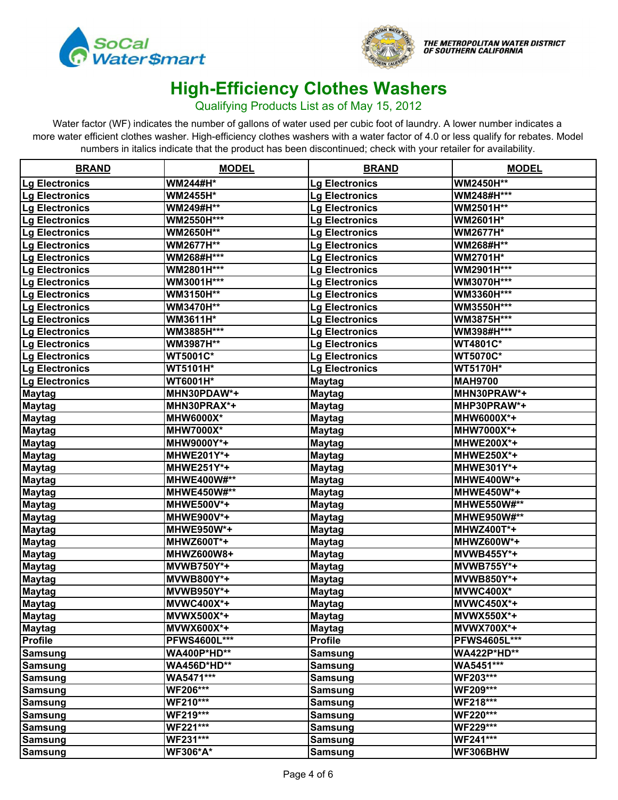



#### Qualifying Products List as of May 15, 2012

| <b>BRAND</b>          | <b>MODEL</b>       | <b>BRAND</b>          | <b>MODEL</b>       |
|-----------------------|--------------------|-----------------------|--------------------|
| <b>Lg Electronics</b> | <b>WM244#H*</b>    | <b>Lg Electronics</b> | WM2450H**          |
| Lg Electronics        | <b>WM2455H*</b>    | <b>Lg Electronics</b> | WM248#H***         |
| Lg Electronics        | WM249#H**          | <b>Lg Electronics</b> | WM2501H**          |
| <b>Lg Electronics</b> | WM2550H***         | <b>Lg Electronics</b> | <b>WM2601H*</b>    |
| <b>Lg Electronics</b> | WM2650H**          | Lg Electronics        | <b>WM2677H*</b>    |
| <b>Lg Electronics</b> | WM2677H**          | <b>Lg Electronics</b> | WM268#H**          |
| <b>Lg Electronics</b> | WM268#H***         | Lg Electronics        | <b>WM2701H*</b>    |
| <b>Lg Electronics</b> | WM2801H***         | Lg Electronics        | WM2901H***         |
| Lg Electronics        | WM3001H***         | <b>Lg Electronics</b> | WM3070H***         |
| Lg Electronics        | WM3150H**          | <b>Lg Electronics</b> | WM3360H***         |
| Lg Electronics        | WM3470H**          | <b>Lg Electronics</b> | WM3550H***         |
| Lg Electronics        | WM3611H*           | <b>Lg Electronics</b> | WM3875H***         |
| <b>Lg Electronics</b> | WM3885H***         | <b>Lg Electronics</b> | WM398#H***         |
| <b>Lg Electronics</b> | WM3987H**          | <b>Lg Electronics</b> | <b>WT4801C*</b>    |
| Lg Electronics        | WT5001C*           | <b>Lg Electronics</b> | <b>WT5070C*</b>    |
| Lg Electronics        | <b>WT5101H*</b>    | <b>Lg Electronics</b> | <b>WT5170H*</b>    |
| <b>Lg Electronics</b> | WT6001H*           | <b>Maytag</b>         | <b>MAH9700</b>     |
| <b>Maytag</b>         | MHN30PDAW*+        | <b>Maytag</b>         | MHN30PRAW*+        |
| <b>Maytag</b>         | MHN30PRAX*+        | <u>Maytag</u>         | MHP30PRAW*+        |
| <b>Maytag</b>         | <b>MHW6000X*</b>   | <b>Maytag</b>         | MHW6000X*+         |
| <b>Maytag</b>         | <b>MHW7000X*</b>   | <u>Maytag</u>         | MHW7000X*+         |
| <b>Maytag</b>         | MHW9000Y*+         | <b>Maytag</b>         | <b>MHWE200X*+</b>  |
| <b>Maytag</b>         | MHWE201Y*+         | <b>Maytag</b>         | <b>MHWE250X*+</b>  |
| <b>Maytag</b>         | <b>MHWE251Y*+</b>  | <b>Maytag</b>         | MHWE301Y*+         |
| <b>Maytag</b>         | <b>MHWE400W#**</b> | <b>Maytag</b>         | MHWE400W*+         |
| <b>Maytag</b>         | <b>MHWE450W#**</b> | <b>Maytag</b>         | <b>MHWE450W*+</b>  |
| <b>Maytag</b>         | <b>MHWE500V*+</b>  | <b>Maytag</b>         | MHWE550W#**        |
| <b>Maytag</b>         | <b>MHWE900V*+</b>  | <b>Maytag</b>         | MHWE950W#**        |
| <b>Maytag</b>         | <b>MHWE950W*+</b>  | <b>Maytag</b>         | <b>MHWZ400T*+</b>  |
| <b>Maytag</b>         | <b>MHWZ600T*+</b>  | <b>Maytag</b>         | <b>MHWZ600W*+</b>  |
| <b>Maytag</b>         | MHWZ600W8+         | <b>Maytag</b>         | <b>MVWB455Y*+</b>  |
| <b>Maytag</b>         | <b>MVWB750Y*+</b>  | <b>Maytag</b>         | <b>MVWB755Y*+</b>  |
| <b>Maytag</b>         | <b>MVWB800Y*+</b>  | <b>Maytag</b>         | MVWB850Y*+         |
| <b>Maytag</b>         | MVWB950Y*+         | <b>Maytag</b>         | MVWC400X*          |
| <b>Maytag</b>         | <b>MVWC400X*+</b>  | <b>Maytag</b>         | <b>MVWC450X*+</b>  |
| <b>Maytag</b>         | MVWX500X*+         | <b>Maytag</b>         | MVWX550X*+         |
| <b>Maytag</b>         | <b>MVWX600X*+</b>  | <b>Maytag</b>         | <b>MVWX700X*+</b>  |
| <b>Profile</b>        | PFWS4600L***       | <b>Profile</b>        | PFWS4605L***       |
| <b>Samsung</b>        | <b>WA400P*HD**</b> | <b>Samsung</b>        | <b>WA422P*HD**</b> |
| <b>Samsung</b>        | <b>WA456D*HD**</b> | Samsung               | WA5451***          |
| <b>Samsung</b>        | WA5471***          | <b>Samsung</b>        | WF203***           |
| <b>Samsung</b>        | <b>WF206***</b>    | <b>Samsung</b>        | WF209***           |
| <b>Samsung</b>        | WF210***           | <b>Samsung</b>        | WF218***           |
| <b>Samsung</b>        | WF219***           | <b>Samsung</b>        | <b>WF220***</b>    |
| <b>Samsung</b>        | <b>WF221***</b>    | <b>Samsung</b>        | WF229***           |
| <b>Samsung</b>        | WF231***           | <b>Samsung</b>        | WF241***           |
| <b>Samsung</b>        | <b>WF306*A*</b>    | <b>Samsung</b>        | WF306BHW           |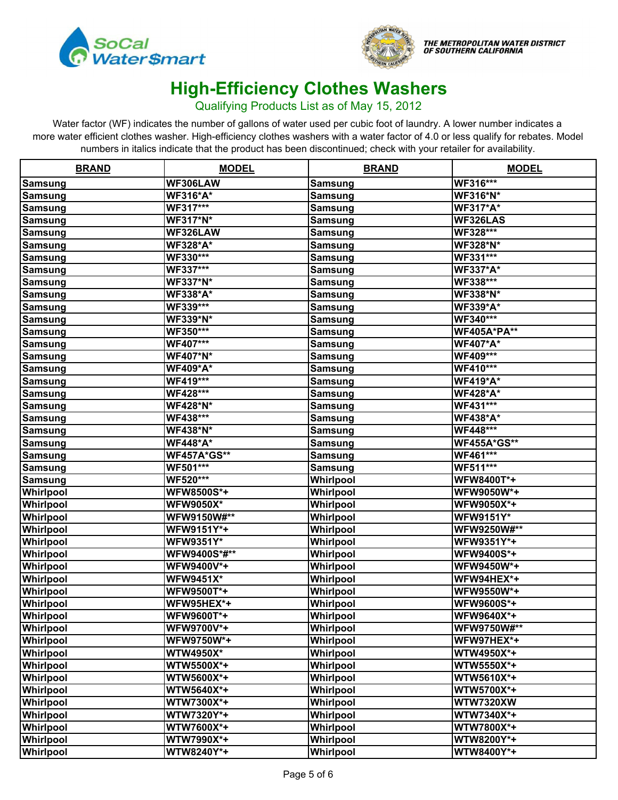



#### Qualifying Products List as of May 15, 2012

| <b>BRAND</b>     | <b>MODEL</b>       | <b>BRAND</b>   | <b>MODEL</b>       |
|------------------|--------------------|----------------|--------------------|
| <b>Samsung</b>   | WF306LAW           | <b>Samsung</b> | WF316***           |
| <b>Samsung</b>   | <b>WF316*A*</b>    | <b>Samsung</b> | <b>WF316*N*</b>    |
| <b>Samsung</b>   | WF317***           | <b>Samsung</b> | <b>WF317*A*</b>    |
| <b>Samsung</b>   | <b>WF317*N*</b>    | <b>Samsung</b> | WF326LAS           |
| <b>Samsung</b>   | WF326LAW           | <u>Samsung</u> | WF328***           |
| <b>Samsung</b>   | <b>WF328*A*</b>    | <b>Samsung</b> | <b>WF328*N*</b>    |
| <b>Samsung</b>   | WF330***           | <b>Samsung</b> | WF331***           |
| <b>Samsung</b>   | WF337***           | <b>Samsung</b> | <b>WF337*A*</b>    |
| <b>Samsung</b>   | <b>WF337*N*</b>    | <b>Samsung</b> | WF338***           |
| <b>Samsung</b>   | <b>WF338*A*</b>    | <b>Samsung</b> | <b>WF338*N*</b>    |
| <b>Samsung</b>   | WF339***           | <b>Samsung</b> | <b>WF339*A*</b>    |
| <b>Samsung</b>   | <b>WF339*N*</b>    | <b>Samsung</b> | WF340***           |
| <b>Samsung</b>   | WF350***           | <b>Samsung</b> | <b>WF405A*PA**</b> |
| <b>Samsung</b>   | WF407***           | <b>Samsung</b> | <b>WF407*A*</b>    |
| <b>Samsung</b>   | <b>WF407*N*</b>    | <b>Samsung</b> | WF409***           |
| <b>Samsung</b>   | <b>WF409*A*</b>    | <b>Samsung</b> | WF410***           |
| <b>Samsung</b>   | WF419***           | <b>Samsung</b> | <b>WF419*A*</b>    |
| <b>Samsung</b>   | WF428***           | <b>Samsung</b> | <b>WF428*A*</b>    |
| <b>Samsung</b>   | <b>WF428*N*</b>    | <b>Samsung</b> | WF431***           |
| <b>Samsung</b>   | WF438***           | <b>Samsung</b> | <b>WF438*A*</b>    |
| <b>Samsung</b>   | <b>WF438*N*</b>    | <b>Samsung</b> | WF448***           |
| <b>Samsung</b>   | <b>WF448*A*</b>    | <b>Samsung</b> | <b>WF455A*GS**</b> |
| <b>Samsung</b>   | <b>WF457A*GS**</b> | <b>Samsung</b> | WF461***           |
| <b>Samsung</b>   | WF501***           | <b>Samsung</b> | WF511***           |
| <b>Samsung</b>   | WF520***           | Whirlpool      | WFW8400T*+         |
| <b>Whirlpool</b> | <b>WFW8500S*+</b>  | Whirlpool      | WFW9050W*+         |
| <b>Whirlpool</b> | <b>WFW9050X*</b>   | Whirlpool      | WFW9050X*+         |
| <b>Whirlpool</b> | WFW9150W#**        | Whirlpool      | <b>WFW9151Y*</b>   |
| <b>Whirlpool</b> | WFW9151Y*+         | Whirlpool      | WFW9250W#**        |
| <b>Whirlpool</b> | <b>WFW9351Y*</b>   | Whirlpool      | WFW9351Y*+         |
| <b>Whirlpool</b> | WFW9400S*#**       | Whirlpool      | WFW9400S*+         |
| Whirlpool        | WFW9400V*+         | Whirlpool      | WFW9450W*+         |
| Whirlpool        | <b>WFW9451X*</b>   | Whirlpool      | WFW94HEX*+         |
| Whirlpool        | WFW9500T*+         | Whirlpool      | WFW9550W*+         |
| Whirlpool        | WFW95HEX*+         | Whirlpool      | WFW9600S*+         |
| Whirlpool        | WFW9600T*+         | Whirlpool      | WFW9640X*+         |
| Whirlpool        | WFW9700V*+         | Whirlpool      | WFW9750W#**        |
| Whirlpool        | WFW9750W*+         | Whirlpool      | WFW97HEX*+         |
| Whirlpool        | <b>WTW4950X*</b>   | Whirlpool      | WTW4950X*+         |
| Whirlpool        | <b>WTW5500X*+</b>  | Whirlpool      | WTW5550X*+         |
| Whirlpool        | WTW5600X*+         | Whirlpool      | WTW5610X*+         |
| Whirlpool        | WTW5640X*+         | Whirlpool      | WTW5700X*+         |
| Whirlpool        | WTW7300X*+         | Whirlpool      | <b>WTW7320XW</b>   |
| Whirlpool        | WTW7320Y*+         | Whirlpool      | WTW7340X*+         |
| Whirlpool        | WTW7600X*+         | Whirlpool      | WTW7800X*+         |
| Whirlpool        | WTW7990X*+         | Whirlpool      | WTW8200Y*+         |
| Whirlpool        | WTW8240Y*+         | Whirlpool      | WTW8400Y*+         |